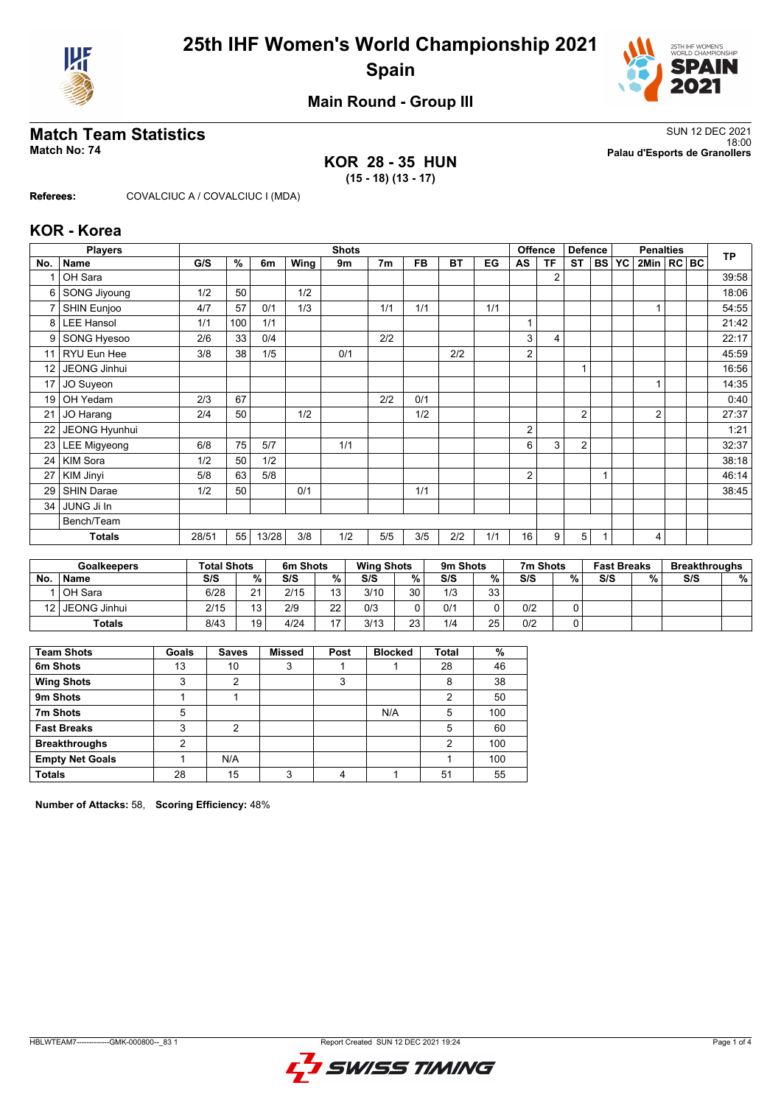



## **Main Round - Group III**

#### **KOR 28 - 35 HUN (15 - 18) (13 - 17)**

**Match Team Statistics** SUN 12 DEC 2021 18:00 **Match No: 74 Palau d'Esports de Granollers**

**Referees:** COVALCIUC A / COVALCIUC I (MDA)

#### **KOR - Korea**

|                 | <b>Players</b>      |       |     |       |      | <b>Shots</b> |                |           |           |     |    | Offence        | <b>Defence</b> |           |           | <b>Penalties</b> |  | <b>TP</b> |
|-----------------|---------------------|-------|-----|-------|------|--------------|----------------|-----------|-----------|-----|----|----------------|----------------|-----------|-----------|------------------|--|-----------|
| No.             | <b>Name</b>         | G/S   | %   | 6m    | Wing | 9m           | 7 <sub>m</sub> | <b>FB</b> | <b>BT</b> | EG  | AS | <b>TF</b>      | <b>ST</b>      | <b>BS</b> | <b>YC</b> | 2Min   RC BC     |  |           |
|                 | OH Sara             |       |     |       |      |              |                |           |           |     |    | $\overline{2}$ |                |           |           |                  |  | 39:58     |
| 6               | <b>SONG Jiyoung</b> | 1/2   | 50  |       | 1/2  |              |                |           |           |     |    |                |                |           |           |                  |  | 18:06     |
| 7               | SHIN Eunjoo         | 4/7   | 57  | 0/1   | 1/3  |              | 1/1            | 1/1       |           | 1/1 |    |                |                |           |           |                  |  | 54:55     |
| 8               | <b>LEE Hansol</b>   | 1/1   | 100 | 1/1   |      |              |                |           |           |     |    |                |                |           |           |                  |  | 21:42     |
| 9               | <b>SONG Hyesoo</b>  | 2/6   | 33  | 0/4   |      |              | 2/2            |           |           |     | 3  | 4              |                |           |           |                  |  | 22:17     |
| 11              | RYU Eun Hee         | 3/8   | 38  | 1/5   |      | 0/1          |                |           | 2/2       |     | 2  |                |                |           |           |                  |  | 45:59     |
| 12 <sup>2</sup> | JEONG Jinhui        |       |     |       |      |              |                |           |           |     |    |                | 1              |           |           |                  |  | 16:56     |
| 17              | JO Suyeon           |       |     |       |      |              |                |           |           |     |    |                |                |           |           |                  |  | 14:35     |
| 19              | OH Yedam            | 2/3   | 67  |       |      |              | 2/2            | 0/1       |           |     |    |                |                |           |           |                  |  | 0:40      |
| 21              | JO Harang           | 2/4   | 50  |       | 1/2  |              |                | 1/2       |           |     |    |                | $\overline{2}$ |           |           | $\overline{2}$   |  | 27:37     |
| 22              | JEONG Hyunhui       |       |     |       |      |              |                |           |           |     | 2  |                |                |           |           |                  |  | 1:21      |
| 23              | <b>LEE Migyeong</b> | 6/8   | 75  | 5/7   |      | 1/1          |                |           |           |     | 6  | 3              | $\overline{2}$ |           |           |                  |  | 32:37     |
| 24              | KIM Sora            | 1/2   | 50  | 1/2   |      |              |                |           |           |     |    |                |                |           |           |                  |  | 38:18     |
| 27              | <b>KIM Jinyi</b>    | 5/8   | 63  | 5/8   |      |              |                |           |           |     | 2  |                |                |           |           |                  |  | 46:14     |
| 29              | <b>SHIN Darae</b>   | 1/2   | 50  |       | 0/1  |              |                | 1/1       |           |     |    |                |                |           |           |                  |  | 38:45     |
| 34              | JUNG Ji In          |       |     |       |      |              |                |           |           |     |    |                |                |           |           |                  |  |           |
|                 | Bench/Team          |       |     |       |      |              |                |           |           |     |    |                |                |           |           |                  |  |           |
|                 | <b>Totals</b>       | 28/51 | 55  | 13/28 | 3/8  | 1/2          | 5/5            | 3/5       | 2/2       | 1/1 | 16 | 9              | 5              |           |           | 4                |  |           |

|           | <b>Goalkeepers</b> | <b>Total Shots</b> |    | 6m Shots |    | <b>Wing Shots</b> |    | 9m Shots |    | 7m Shots |   | <b>Fast Breaks</b> |   | <b>Breakthroughs</b> |   |
|-----------|--------------------|--------------------|----|----------|----|-------------------|----|----------|----|----------|---|--------------------|---|----------------------|---|
| <b>No</b> | <b>Name</b>        | S/S                | %  | S/S      | %. | S/S               | %  | S/S      | %  | S/S      | % | S/S                | % | S/S                  | % |
|           | OH Sara            | 6/28               | 21 | 2/15     | 13 | 3/10              | 30 | 1/3      | 33 |          |   |                    |   |                      |   |
| 121       | JEONG Jinhui       | 2/15               | 12 | 2/9      | 22 | 0/3               |    | 0/1      |    | 0/2      |   |                    |   |                      |   |
|           | <b>Totals</b>      | 8/43               | 19 | 4/24     | 17 | 3/13              | 23 | 1/4      | 25 | 0/2      |   |                    |   |                      |   |

| <b>Team Shots</b>      | Goals | <b>Saves</b> | <b>Missed</b> | Post | <b>Blocked</b> | <b>Total</b>   | %   |
|------------------------|-------|--------------|---------------|------|----------------|----------------|-----|
| 6m Shots               | 13    | 10           | 3             |      |                | 28             | 46  |
| <b>Wing Shots</b>      | 3     | 2            |               | 3    |                | 8              | 38  |
| 9m Shots               |       |              |               |      |                | 2              | 50  |
| 7m Shots               | 5     |              |               |      | N/A            | 5              | 100 |
| <b>Fast Breaks</b>     | 3     | 2            |               |      |                | 5              | 60  |
| <b>Breakthroughs</b>   | 2     |              |               |      |                | $\mathfrak{p}$ | 100 |
| <b>Empty Net Goals</b> |       | N/A          |               |      |                |                | 100 |
| <b>Totals</b>          | 28    | 15           | 3             |      |                | 51             | 55  |

**Number of Attacks:** 58, **Scoring Efficiency:** 48%

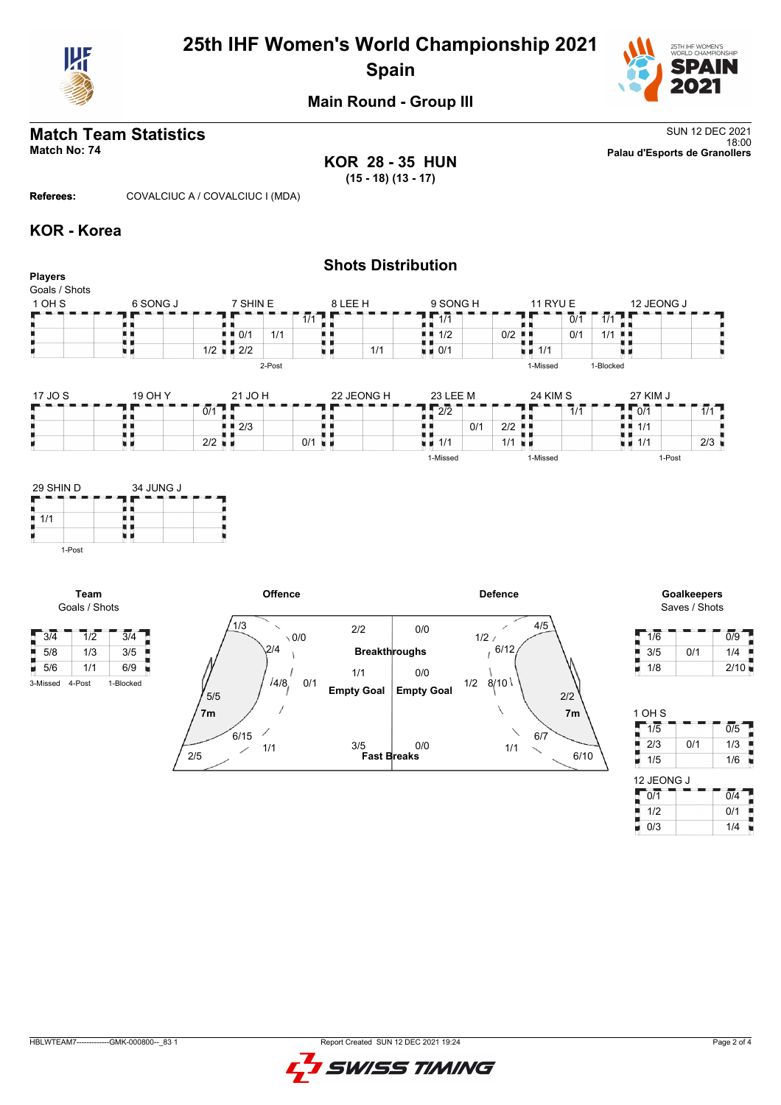

# **25th IHF Women's World Championship 2021 Spain**



## **Main Round - Group III**

# **Match Team Statistics** SUN 12 DEC 2021

**KOR 28 - 35 HUN (15 - 18) (13 - 17)**

18:00 **Match No: 74 Palau d'Esports de Granollers**

**Referees:** COVALCIUC A / COVALCIUC I (MDA)

#### **KOR - Korea**

#### **Shots Distribution Players** Goals / Shots 1 OH S 6 SONG J  $7$  SHIN E 8 LEE H 9 SONG H 11 RYU E 12 JEONG J  $\frac{5}{11/1}$  $\overline{1/1}$  $0/1$   $1/1$ n m 89  $\frac{1}{2}$  0/1 1/1 88, 89,  $0/1$  1/1  $\blacksquare$ 机电 真菌  $1/2$  0/2  $1/1/1$ 1/1 原子  $1/2$   $\blacksquare$  2/2 u s 0/1 υø 2-Post 1-Missed 1-Blocked 17 JO S 19 OH Y 21 JO H 22 JEONG H
23 LEE M 24 KIM S 27 KIM J п ٦F **2**<br>2012 - 212<br>2013 - 212 ä,  $\blacksquare$  $7/1$ ÷  $\vert$  0/1  $0/1$  1/1 ÄЦ ł. п ij,  $\begin{array}{|c|c|c|}\n\hline\n0/1 & 2/2 & \hline\n\hline\n1/1 & \hline\n\end{array}$ . . ■ 2/3  $1/1$  $\frac{1}{1}$   $\frac{1}{1/1}$ t)  $0/1$  $\vert$  2/2  $1/1$  2/3 н. 1-Missed 1-Missed 1-Post 29 SHIN D 34 JUNG J п T E



**Team** Goals / Shots



Saves / Shots

| 1/6 |     | 0/9  |
|-----|-----|------|
| 3/5 | 0/1 | 1/4  |
| 1/8 |     | 2/10 |

| 1 OH S     |     |                  |
|------------|-----|------------------|
| 1/5        |     | $\overline{0/5}$ |
| 2/3        | 0/1 | 1/3              |
| 1/5        |     | 1/6              |
| 12 JEONG J |     |                  |
| 0/1        |     | $\overline{0/4}$ |
| 1/2        |     | 0/1              |
| 0/3        |     | 1/4              |

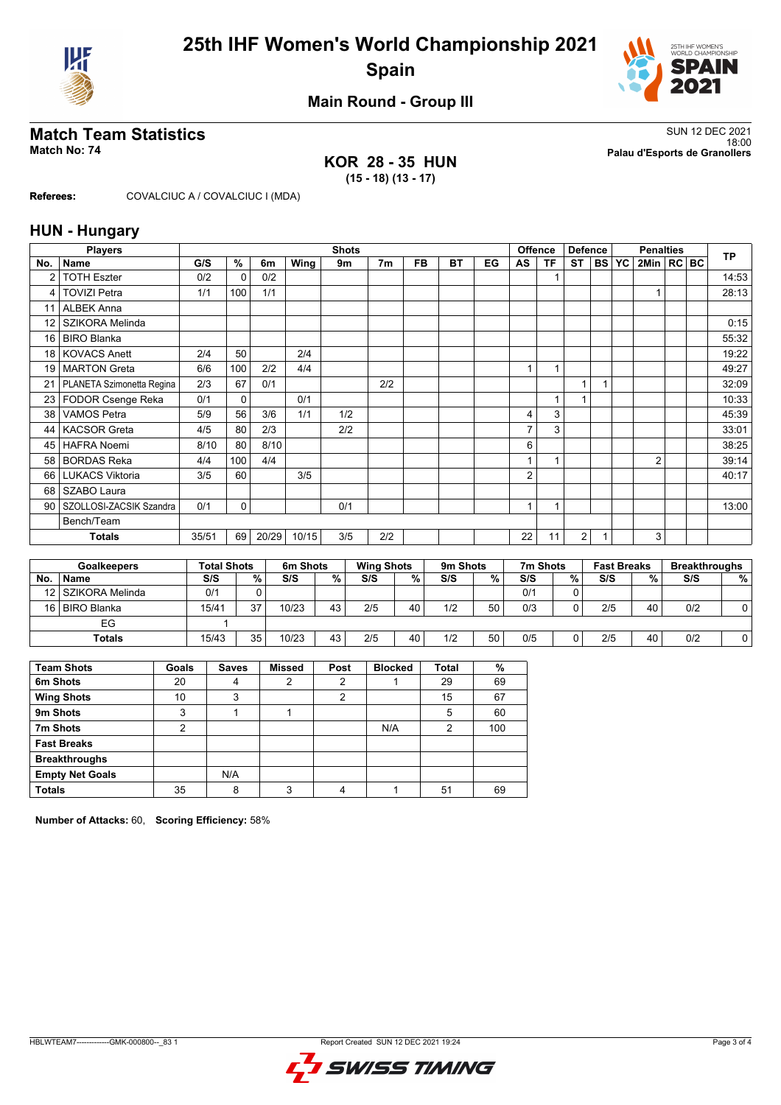



### **Main Round - Group III**

## **Match Team Statistics** SUN 12 DEC 2021

#### **KOR 28 - 35 HUN (15 - 18) (13 - 17)**

18:00 **Match No: 74 Palau d'Esports de Granollers**

**Referees:** COVALCIUC A / COVALCIUC I (MDA)

#### **HUN - Hungary**

|                | <b>Players</b>            |       |                    |       |                      | <b>Shots</b> |                   |           |          |    |    | <b>Offence</b> | <b>Defence</b> |           |                    | <b>Penalties</b> |  | <b>TP</b>            |
|----------------|---------------------------|-------|--------------------|-------|----------------------|--------------|-------------------|-----------|----------|----|----|----------------|----------------|-----------|--------------------|------------------|--|----------------------|
| No.            | <b>Name</b>               | G/S   | $\frac{9}{6}$      | 6m    | Wing                 | 9m           | 7 <sub>m</sub>    | <b>FB</b> | BT       | EG | AS | <b>TF</b>      | <b>ST</b>      | <b>BS</b> | <b>YC</b>          | 2Min   RC   BC   |  |                      |
| $\overline{2}$ | <b>TOTH Eszter</b>        | 0/2   | $\Omega$           | 0/2   |                      |              |                   |           |          |    |    |                |                |           |                    |                  |  | 14:53                |
| 4              | <b>TOVIZI Petra</b>       | 1/1   | 100                | 1/1   |                      |              |                   |           |          |    |    |                |                |           |                    |                  |  | 28:13                |
| 11             | <b>ALBEK Anna</b>         |       |                    |       |                      |              |                   |           |          |    |    |                |                |           |                    |                  |  |                      |
| 12             | SZIKORA Melinda           |       |                    |       |                      |              |                   |           |          |    |    |                |                |           |                    |                  |  | 0:15                 |
| 16             | <b>BIRO Blanka</b>        |       |                    |       |                      |              |                   |           |          |    |    |                |                |           |                    |                  |  | 55:32                |
| 18             | <b>KOVACS Anett</b>       | 2/4   | 50                 |       | 2/4                  |              |                   |           |          |    |    |                |                |           |                    |                  |  | 19:22                |
| 19             | <b>MARTON</b> Greta       | 6/6   | 100                | 2/2   | 4/4                  |              |                   |           |          |    |    | 1              |                |           |                    |                  |  | 49:27                |
| 21             | PLANETA Szimonetta Regina | 2/3   | 67                 | 0/1   |                      |              | 2/2               |           |          |    |    |                | 1              |           |                    |                  |  | 32:09                |
| 23             | FODOR Csenge Reka         | 0/1   | 0                  |       | 0/1                  |              |                   |           |          |    |    | 1              | 1              |           |                    |                  |  | 10:33                |
| 38             | <b>VAMOS Petra</b>        | 5/9   | 56                 | 3/6   | 1/1                  | 1/2          |                   |           |          |    | 4  | 3              |                |           |                    |                  |  | 45:39                |
| 44             | <b>KACSOR Greta</b>       | 4/5   | 80                 | 2/3   |                      | 2/2          |                   |           |          |    | 7  | 3              |                |           |                    |                  |  | 33:01                |
| 45             | <b>HAFRA Noemi</b>        | 8/10  | 80                 | 8/10  |                      |              |                   |           |          |    | 6  |                |                |           |                    |                  |  | 38:25                |
| 58             | <b>BORDAS Reka</b>        | 4/4   | 100                | 4/4   |                      |              |                   |           |          |    | 1  |                |                |           |                    | $\overline{2}$   |  | 39:14                |
| 66             | <b>LUKACS Viktoria</b>    | 3/5   | 60                 |       | 3/5                  |              |                   |           |          |    | 2  |                |                |           |                    |                  |  | 40:17                |
| 68             | SZABO Laura               |       |                    |       |                      |              |                   |           |          |    |    |                |                |           |                    |                  |  |                      |
| 90             | SZOLLOSI-ZACSIK Szandra   | 0/1   | 0                  |       |                      | 0/1          |                   |           |          |    |    | 1              |                |           |                    |                  |  | 13:00                |
|                | Bench/Team                |       |                    |       |                      |              |                   |           |          |    |    |                |                |           |                    |                  |  |                      |
|                | <b>Totals</b>             | 35/51 | 69                 | 20/29 | 10/15                | 3/5          | 2/2               |           |          |    | 22 | 11             | 2              |           |                    | 3                |  |                      |
|                | Goalkeepers               |       | <b>Total Shots</b> |       | 6 <sub>m</sub> Shots |              | <b>Wing Shots</b> |           | 9m Shots |    |    | 7m Shots       |                |           | <b>Fast Breaks</b> |                  |  | <b>Breakthroughs</b> |

|     | Goalkeepers        | Total Shots |        | 6m Shots |    | <b>Wing Shots</b> |    | 9m Shots |    | 7m Shots |          | <b>Fast Breaks</b> |    | Breakthroughs |   |
|-----|--------------------|-------------|--------|----------|----|-------------------|----|----------|----|----------|----------|--------------------|----|---------------|---|
| No. | <b>Name</b>        | S/S         | $\%$ . | S/S      | %  | S/S               | %⊣ | S/S      | %  | S/S      | %        | S/S                | %  | S/S           | % |
|     | 12 SZIKORA Melinda | 0/1         |        |          |    |                   |    |          |    | 0/1      |          |                    |    |               |   |
|     | 16 BIRO Blanka     | 15/41       | 27     | 10/23    | 43 | 2/5               | 40 | 1/2      | 50 | 0/3      | $\Omega$ | 2/5                | 40 | 0/2           |   |
|     | EG                 |             |        |          |    |                   |    |          |    |          |          |                    |    |               |   |
|     | <b>Totals</b>      | 15/43       | 35     | 10/23    | 43 | 2/5               | 40 | 1/2      | 50 | 0/5      |          | 2/5                | 40 | 0/2           |   |

| <b>Team Shots</b>      | Goals   | <b>Saves</b> | <b>Missed</b> | Post | <b>Blocked</b> | Total          | $\%$ |
|------------------------|---------|--------------|---------------|------|----------------|----------------|------|
| 6m Shots               | 20      | 4            | 2             | 2    |                | 29             | 69   |
| <b>Wing Shots</b>      | 10      | 3            |               | 2    |                | 15             | 67   |
| 9m Shots               | ົ<br>د٠ |              |               |      |                | 5              | 60   |
| 7m Shots               | 2       |              |               |      | N/A            | $\overline{2}$ | 100  |
| <b>Fast Breaks</b>     |         |              |               |      |                |                |      |
| <b>Breakthroughs</b>   |         |              |               |      |                |                |      |
| <b>Empty Net Goals</b> |         | N/A          |               |      |                |                |      |
| <b>Totals</b>          | 35      | 8            | 3             |      |                | 51             | 69   |

**Number of Attacks:** 60, **Scoring Efficiency:** 58%